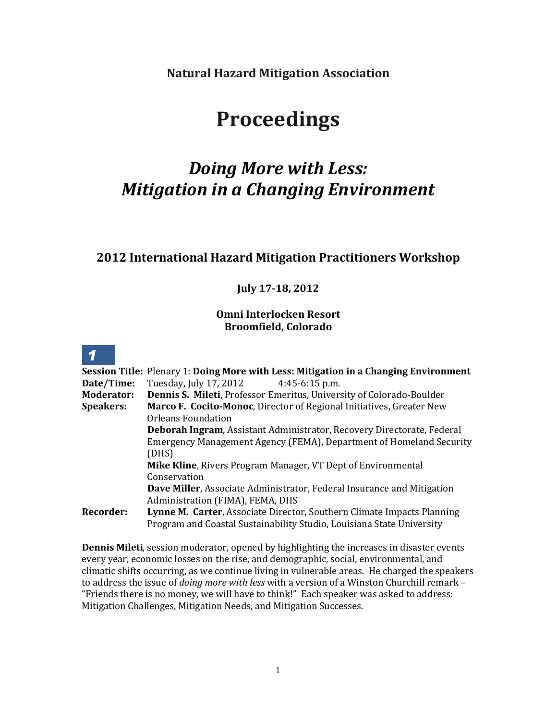**Natural Hazard Mitigation Association**

# **Proceedings**

# *Doing More with Less: Mitigation in a Changing Environment*

## **2012 International Hazard Mitigation Practitioners Workshop**

## **July 17-18, 2012**

## **Omni Interlocken Resort Broomfield, Colorado**

|                   | <b>Session Title: Plenary 1: Doing More with Less: Mitigation in a Changing Environment</b> |
|-------------------|---------------------------------------------------------------------------------------------|
| Date/Time:        | Tuesday, July 17, 2012 4:45-6:15 p.m.                                                       |
| <b>Moderator:</b> | <b>Dennis S. Mileti, Professor Emeritus, University of Colorado-Boulder</b>                 |
| <b>Speakers:</b>  | Marco F. Cocito-Monoc, Director of Regional Initiatives, Greater New                        |
|                   | <b>Orleans Foundation</b>                                                                   |
|                   | <b>Deborah Ingram, Assistant Administrator, Recovery Directorate, Federal</b>               |
|                   | Emergency Management Agency (FEMA), Department of Homeland Security                         |
|                   | (DHS)                                                                                       |
|                   | Mike Kline, Rivers Program Manager, VT Dept of Environmental                                |
|                   | Conservation                                                                                |
|                   | Dave Miller, Associate Administrator, Federal Insurance and Mitigation                      |
|                   | Administration (FIMA), FEMA, DHS                                                            |
| <b>Recorder:</b>  | Lynne M. Carter, Associate Director, Southern Climate Impacts Planning                      |
|                   | Program and Coastal Sustainability Studio, Louisiana State University                       |

**Dennis Mileti**, session moderator, opened by highlighting the increases in disaster events every year, economic losses on the rise, and demographic, social, environmental, and climatic shifts occurring, as we continue living in vulnerable areas. He charged the speakers to address the issue of *doing more with less* with a version of a Winston Churchill remark – "Friends there is no money, we will have to think!" Each speaker was asked to address: Mitigation Challenges, Mitigation Needs, and Mitigation Successes.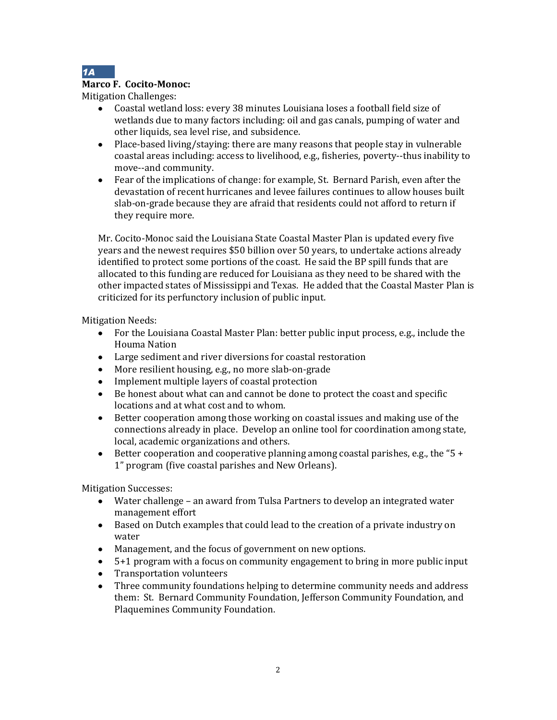

#### **Marco F. Cocito-Monoc:**

Mitigation Challenges:

- Coastal wetland loss: every 38 minutes Louisiana loses a football field size of  $\bullet$ wetlands due to many factors including: oil and gas canals, pumping of water and other liquids, sea level rise, and subsidence.
- Place-based living/staying: there are many reasons that people stay in vulnerable coastal areas including: access to livelihood, e.g., fisheries, poverty--thus inability to move--and community.
- Fear of the implications of change: for example, St. Bernard Parish, even after the devastation of recent hurricanes and levee failures continues to allow houses built slab-on-grade because they are afraid that residents could not afford to return if they require more.

Mr. Cocito-Monoc said the Louisiana State Coastal Master Plan is updated every five years and the newest requires \$50 billion over 50 years, to undertake actions already identified to protect some portions of the coast. He said the BP spill funds that are allocated to this funding are reduced for Louisiana as they need to be shared with the other impacted states of Mississippi and Texas. He added that the Coastal Master Plan is criticized for its perfunctory inclusion of public input.

Mitigation Needs:

- For the Louisiana Coastal Master Plan: better public input process, e.g., include the Houma Nation
- Large sediment and river diversions for coastal restoration
- More resilient housing, e.g., no more slab-on-grade
- Implement multiple layers of coastal protection
- Be honest about what can and cannot be done to protect the coast and specific locations and at what cost and to whom.
- Better cooperation among those working on coastal issues and making use of the connections already in place. Develop an online tool for coordination among state, local, academic organizations and others.
- Better cooperation and cooperative planning among coastal parishes, e.g., the "5 + 1" program (five coastal parishes and New Orleans).

Mitigation Successes:

- Water challenge an award from Tulsa Partners to develop an integrated water management effort
- Based on Dutch examples that could lead to the creation of a private industry on water
- Management, and the focus of government on new options.
- 5+1 program with a focus on community engagement to bring in more public input
- Transportation volunteers
- Three community foundations helping to determine community needs and address them: St. Bernard Community Foundation, Jefferson Community Foundation, and Plaquemines Community Foundation.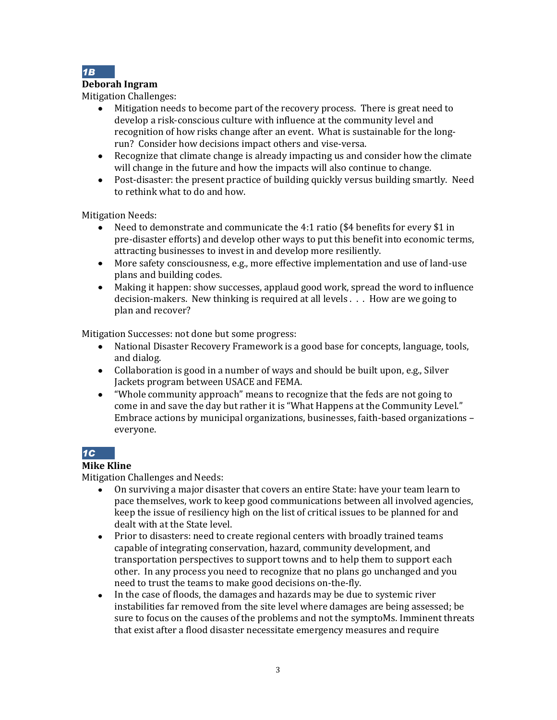

#### **Deborah Ingram**

Mitigation Challenges:

- Mitigation needs to become part of the recovery process. There is great need to develop a risk-conscious culture with influence at the community level and recognition of how risks change after an event. What is sustainable for the longrun? Consider how decisions impact others and vise-versa.
- Recognize that climate change is already impacting us and consider how the climate will change in the future and how the impacts will also continue to change.
- Post-disaster: the present practice of building quickly versus building smartly. Need to rethink what to do and how.

Mitigation Needs:<br>• Need to de

- Need to demonstrate and communicate the 4:1 ratio (\$4 benefits for every \$1 in pre-disaster efforts) and develop other ways to put this benefit into economic terms, attracting businesses to invest in and develop more resiliently.
- More safety consciousness, e.g., more effective implementation and use of land-use plans and building codes.
- Making it happen: show successes, applaud good work, spread the word to influence decision-makers. New thinking is required at all levels . . . How are we going to plan and recover?

Mitigation Successes: not done but some progress:

- National Disaster Recovery Framework is a good base for concepts, language, tools, and dialog.
- Collaboration is good in a number of ways and should be built upon, e.g., Silver Jackets program between USACE and FEMA.
- "Whole community approach" means to recognize that the feds are not going to come in and save the day but rather it is "What Happens at the Community Level." Embrace actions by municipal organizations, businesses, faith-based organizations – everyone.

## *1C*

## **Mike Kline**

Mitigation Challenges and Needs:

- On surviving a major disaster that covers an entire State: have your team learn to pace themselves, work to keep good communications between all involved agencies, keep the issue of resiliency high on the list of critical issues to be planned for and dealt with at the State level.
- Prior to disasters: need to create regional centers with broadly trained teams capable of integrating conservation, hazard, community development, and transportation perspectives to support towns and to help them to support each other. In any process you need to recognize that no plans go unchanged and you need to trust the teams to make good decisions on-the-fly.
- In the case of floods, the damages and hazards may be due to systemic river instabilities far removed from the site level where damages are being assessed; be sure to focus on the causes of the problems and not the symptoMs. Imminent threats that exist after a flood disaster necessitate emergency measures and require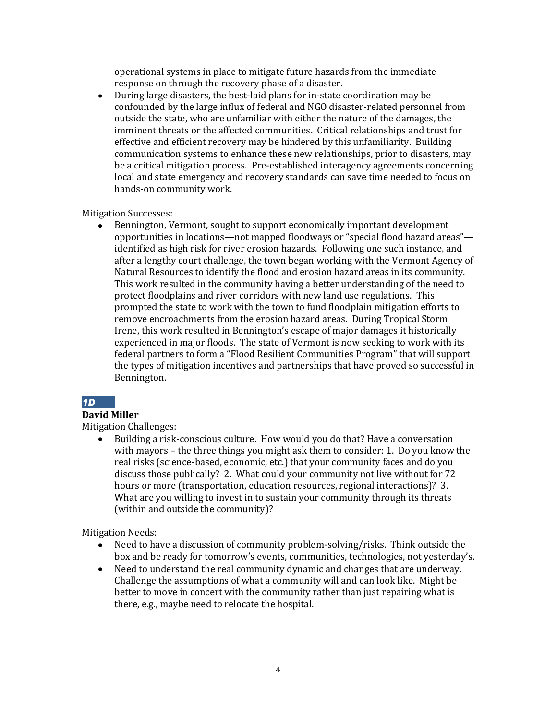operational systems in place to mitigate future hazards from the immediate response on through the recovery phase of a disaster.

During large disasters, the best-laid plans for in-state coordination may be  $\bullet$ confounded by the large influx of federal and NGO disaster-related personnel from outside the state, who are unfamiliar with either the nature of the damages, the imminent threats or the affected communities. Critical relationships and trust for effective and efficient recovery may be hindered by this unfamiliarity. Building communication systems to enhance these new relationships, prior to disasters, may be a critical mitigation process. Pre-established interagency agreements concerning local and state emergency and recovery standards can save time needed to focus on hands-on community work.

Mitigation Successes:

Bennington, Vermont, sought to support economically important development opportunities in locations—not mapped floodways or "special flood hazard areas" identified as high risk for river erosion hazards. Following one such instance, and after a lengthy court challenge, the town began working with the Vermont Agency of Natural Resources to identify the flood and erosion hazard areas in its community. This work resulted in the community having a better understanding of the need to protect floodplains and river corridors with new land use regulations. This prompted the state to work with the town to fund floodplain mitigation efforts to remove encroachments from the erosion hazard areas. During Tropical Storm Irene, this work resulted in Bennington's escape of major damages it historically experienced in major floods. The state of Vermont is now seeking to work with its federal partners to form a "Flood Resilient Communities Program" that will support the types of mitigation incentives and partnerships that have proved so successful in Bennington.

## *1D*

#### **David Miller**

Mitigation Challenges:

 $\bullet$ Building a risk-conscious culture. How would you do that? Have a conversation with mayors – the three things you might ask them to consider: 1. Do you know the real risks (science-based, economic, etc.) that your community faces and do you discuss those publically? 2. What could your community not live without for 72 hours or more (transportation, education resources, regional interactions)? 3. What are you willing to invest in to sustain your community through its threats (within and outside the community)?

Mitigation Needs:

- Need to have a discussion of community problem-solving/risks. Think outside the box and be ready for tomorrow's events, communities, technologies, not yesterday's.
- Need to understand the real community dynamic and changes that are underway. Challenge the assumptions of what a community will and can look like. Might be better to move in concert with the community rather than just repairing what is there, e.g., maybe need to relocate the hospital.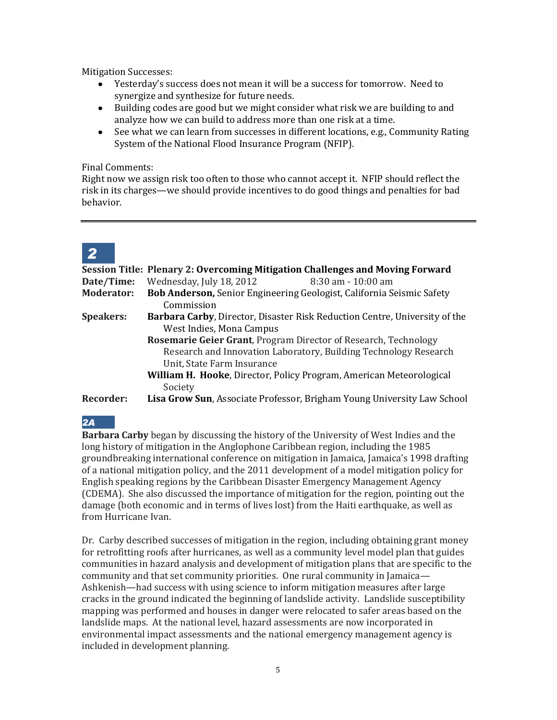Mitigation Successes:

- Yesterday's success does not mean it will be a success for tomorrow. Need to synergize and synthesize for future needs.
- Building codes are good but we might consider what risk we are building to and analyze how we can build to address more than one risk at a time.
- See what we can learn from successes in different locations, e.g., Community Rating System of the National Flood Insurance Program (NFIP).

#### Final Comments:

Right now we assign risk too often to those who cannot accept it. NFIP should reflect the risk in its charges—we should provide incentives to do good things and penalties for bad behavior.

# *2*

|                   | Session Title: Plenary 2: Overcoming Mitigation Challenges and Moving Forward  |
|-------------------|--------------------------------------------------------------------------------|
| Date/Time:        | Wednesday, July 18, 2012<br>$8:30$ am $-10:00$ am                              |
| <b>Moderator:</b> | Bob Anderson, Senior Engineering Geologist, California Seismic Safety          |
|                   | Commission                                                                     |
| <b>Speakers:</b>  | Barbara Carby, Director, Disaster Risk Reduction Centre, University of the     |
|                   | West Indies, Mona Campus                                                       |
|                   | <b>Rosemarie Geier Grant, Program Director of Research, Technology</b>         |
|                   | Research and Innovation Laboratory, Building Technology Research               |
|                   | Unit, State Farm Insurance                                                     |
|                   | William H. Hooke, Director, Policy Program, American Meteorological            |
|                   | Society                                                                        |
| Recorder:         | <b>Lisa Grow Sun, Associate Professor, Brigham Young University Law School</b> |

## *2A*

**Barbara Carby** began by discussing the history of the University of West Indies and the long history of mitigation in the Anglophone Caribbean region, including the 1985 groundbreaking international conference on mitigation in Jamaica, Jamaica's 1998 drafting of a national mitigation policy, and the 2011 development of a model mitigation policy for English speaking regions by the Caribbean Disaster Emergency Management Agency (CDEMA). She also discussed the importance of mitigation for the region, pointing out the damage (both economic and in terms of lives lost) from the Haiti earthquake, as well as from Hurricane Ivan.

Dr. Carby described successes of mitigation in the region, including obtaining grant money for retrofitting roofs after hurricanes, as well as a community level model plan that guides communities in hazard analysis and development of mitigation plans that are specific to the community and that set community priorities. One rural community in Jamaica— Ashkenish—had success with using science to inform mitigation measures after large cracks in the ground indicated the beginning of landslide activity. Landslide susceptibility mapping was performed and houses in danger were relocated to safer areas based on the landslide maps. At the national level, hazard assessments are now incorporated in environmental impact assessments and the national emergency management agency is included in development planning.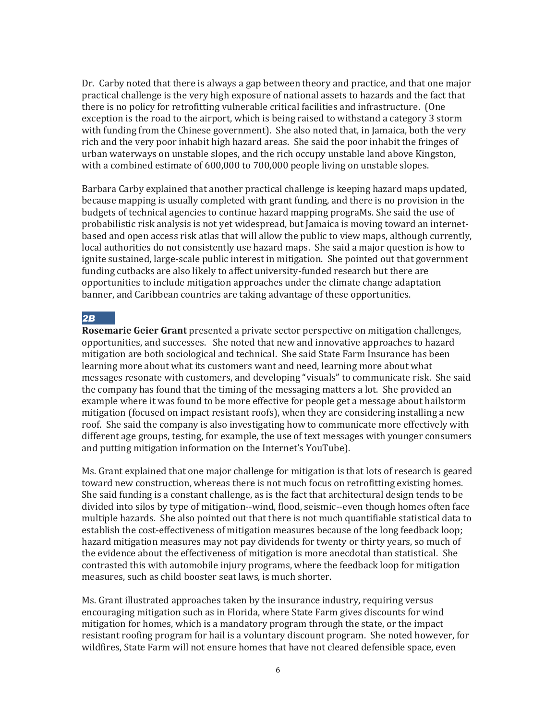Dr. Carby noted that there is always a gap between theory and practice, and that one major practical challenge is the very high exposure of national assets to hazards and the fact that there is no policy for retrofitting vulnerable critical facilities and infrastructure. (One exception is the road to the airport, which is being raised to withstand a category 3 storm with funding from the Chinese government). She also noted that, in Jamaica, both the very rich and the very poor inhabit high hazard areas. She said the poor inhabit the fringes of urban waterways on unstable slopes, and the rich occupy unstable land above Kingston, with a combined estimate of 600,000 to 700,000 people living on unstable slopes.

Barbara Carby explained that another practical challenge is keeping hazard maps updated, because mapping is usually completed with grant funding, and there is no provision in the budgets of technical agencies to continue hazard mapping prograMs. She said the use of probabilistic risk analysis is not yet widespread, but Jamaica is moving toward an internetbased and open access risk atlas that will allow the public to view maps, although currently, local authorities do not consistently use hazard maps. She said a major question is how to ignite sustained, large-scale public interest in mitigation. She pointed out that government funding cutbacks are also likely to affect university-funded research but there are opportunities to include mitigation approaches under the climate change adaptation banner, and Caribbean countries are taking advantage of these opportunities.

#### *2B*

**Rosemarie Geier Grant** presented a private sector perspective on mitigation challenges, opportunities, and successes. She noted that new and innovative approaches to hazard mitigation are both sociological and technical. She said State Farm Insurance has been learning more about what its customers want and need, learning more about what messages resonate with customers, and developing "visuals" to communicate risk. She said the company has found that the timing of the messaging matters a lot. She provided an example where it was found to be more effective for people get a message about hailstorm mitigation (focused on impact resistant roofs), when they are considering installing a new roof. She said the company is also investigating how to communicate more effectively with different age groups, testing, for example, the use of text messages with younger consumers and putting mitigation information on the Internet's YouTube).

Ms. Grant explained that one major challenge for mitigation is that lots of research is geared toward new construction, whereas there is not much focus on retrofitting existing homes. She said funding is a constant challenge, as is the fact that architectural design tends to be divided into silos by type of mitigation--wind, flood, seismic--even though homes often face multiple hazards. She also pointed out that there is not much quantifiable statistical data to establish the cost-effectiveness of mitigation measures because of the long feedback loop; hazard mitigation measures may not pay dividends for twenty or thirty years, so much of the evidence about the effectiveness of mitigation is more anecdotal than statistical. She contrasted this with automobile injury programs, where the feedback loop for mitigation measures, such as child booster seat laws, is much shorter.

Ms. Grant illustrated approaches taken by the insurance industry, requiring versus encouraging mitigation such as in Florida, where State Farm gives discounts for wind mitigation for homes, which is a mandatory program through the state, or the impact resistant roofing program for hail is a voluntary discount program. She noted however, for wildfires, State Farm will not ensure homes that have not cleared defensible space, even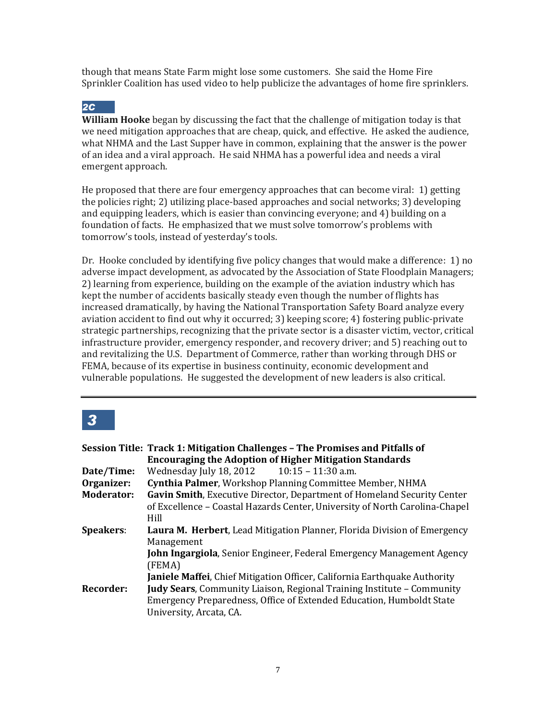though that means State Farm might lose some customers. She said the Home Fire Sprinkler Coalition has used video to help publicize the advantages of home fire sprinklers.

## *2C*

**William Hooke** began by discussing the fact that the challenge of mitigation today is that we need mitigation approaches that are cheap, quick, and effective. He asked the audience, what NHMA and the Last Supper have in common, explaining that the answer is the power of an idea and a viral approach. He said NHMA has a powerful idea and needs a viral emergent approach.

He proposed that there are four emergency approaches that can become viral: 1) getting the policies right; 2) utilizing place-based approaches and social networks; 3) developing and equipping leaders, which is easier than convincing everyone; and 4) building on a foundation of facts. He emphasized that we must solve tomorrow's problems with tomorrow's tools, instead of yesterday's tools.

Dr. Hooke concluded by identifying five policy changes that would make a difference: 1) no adverse impact development, as advocated by the Association of State Floodplain Managers; 2) learning from experience, building on the example of the aviation industry which has kept the number of accidents basically steady even though the number of flights has increased dramatically, by having the National Transportation Safety Board analyze every aviation accident to find out why it occurred; 3) keeping score; 4) fostering public-private strategic partnerships, recognizing that the private sector is a disaster victim, vector, critical infrastructure provider, emergency responder, and recovery driver; and 5) reaching out to and revitalizing the U.S. Department of Commerce, rather than working through DHS or FEMA, because of its expertise in business continuity, economic development and vulnerable populations. He suggested the development of new leaders is also critical.

## *3*

|                   | Session Title: Track 1: Mitigation Challenges - The Promises and Pitfalls of     |
|-------------------|----------------------------------------------------------------------------------|
|                   | <b>Encouraging the Adoption of Higher Mitigation Standards</b>                   |
| Date/Time:        | Wednesday July 18, 2012 10:15 - 11:30 a.m.                                       |
| Organizer:        | Cynthia Palmer, Workshop Planning Committee Member, NHMA                         |
| <b>Moderator:</b> | Gavin Smith, Executive Director, Department of Homeland Security Center          |
|                   | of Excellence – Coastal Hazards Center, University of North Carolina-Chapel      |
|                   | Hill                                                                             |
| <b>Speakers:</b>  | Laura M. Herbert, Lead Mitigation Planner, Florida Division of Emergency         |
|                   | Management                                                                       |
|                   | <b>John Ingargiola</b> , Senior Engineer, Federal Emergency Management Agency    |
|                   | (FEMA)                                                                           |
|                   | <b>Janiele Maffei, Chief Mitigation Officer, California Earthquake Authority</b> |
| <b>Recorder:</b>  | <b>Judy Sears</b> , Community Liaison, Regional Training Institute – Community   |
|                   | <b>Emergency Preparedness, Office of Extended Education, Humboldt State</b>      |
|                   | University, Arcata, CA.                                                          |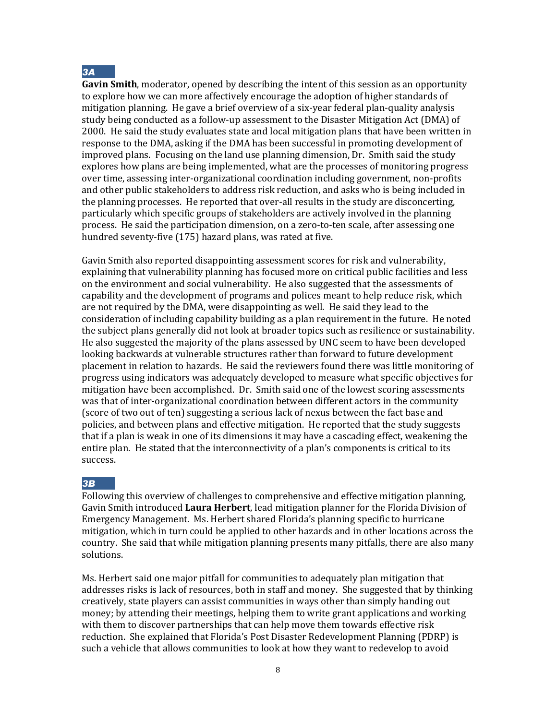

**Gavin Smith**, moderator, opened by describing the intent of this session as an opportunity to explore how we can more affectively encourage the adoption of higher standards of mitigation planning. He gave a brief overview of a six-year federal plan-quality analysis study being conducted as a follow-up assessment to the Disaster Mitigation Act (DMA) of 2000. He said the study evaluates state and local mitigation plans that have been written in response to the DMA, asking if the DMA has been successful in promoting development of improved plans. Focusing on the land use planning dimension, Dr. Smith said the study explores how plans are being implemented, what are the processes of monitoring progress over time, assessing inter-organizational coordination including government, non-profits and other public stakeholders to address risk reduction, and asks who is being included in the planning processes. He reported that over-all results in the study are disconcerting, particularly which specific groups of stakeholders are actively involved in the planning process. He said the participation dimension, on a zero-to-ten scale, after assessing one hundred seventy-five (175) hazard plans, was rated at five.

Gavin Smith also reported disappointing assessment scores for risk and vulnerability, explaining that vulnerability planning has focused more on critical public facilities and less on the environment and social vulnerability. He also suggested that the assessments of capability and the development of programs and polices meant to help reduce risk, which are not required by the DMA, were disappointing as well. He said they lead to the consideration of including capability building as a plan requirement in the future. He noted the subject plans generally did not look at broader topics such as resilience or sustainability. He also suggested the majority of the plans assessed by UNC seem to have been developed looking backwards at vulnerable structures rather than forward to future development placement in relation to hazards. He said the reviewers found there was little monitoring of progress using indicators was adequately developed to measure what specific objectives for mitigation have been accomplished. Dr. Smith said one of the lowest scoring assessments was that of inter-organizational coordination between different actors in the community (score of two out of ten) suggesting a serious lack of nexus between the fact base and policies, and between plans and effective mitigation. He reported that the study suggests that if a plan is weak in one of its dimensions it may have a cascading effect, weakening the entire plan. He stated that the interconnectivity of a plan's components is critical to its success.

#### *3B*

Following this overview of challenges to comprehensive and effective mitigation planning, Gavin Smith introduced **Laura Herbert**, lead mitigation planner for the Florida Division of Emergency Management. Ms. Herbert shared Florida's planning specific to hurricane mitigation, which in turn could be applied to other hazards and in other locations across the country. She said that while mitigation planning presents many pitfalls, there are also many solutions.

Ms. Herbert said one major pitfall for communities to adequately plan mitigation that addresses risks is lack of resources, both in staff and money. She suggested that by thinking creatively, state players can assist communities in ways other than simply handing out money; by attending their meetings, helping them to write grant applications and working with them to discover partnerships that can help move them towards effective risk reduction. She explained that Florida's Post Disaster Redevelopment Planning (PDRP) is such a vehicle that allows communities to look at how they want to redevelop to avoid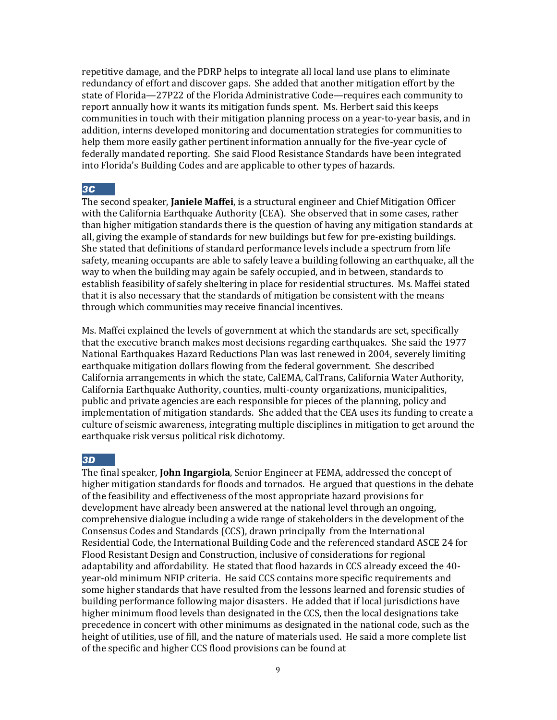repetitive damage, and the PDRP helps to integrate all local land use plans to eliminate redundancy of effort and discover gaps. She added that another mitigation effort by the state of Florida—27P22 of the Florida Administrative Code—requires each community to report annually how it wants its mitigation funds spent. Ms. Herbert said this keeps communities in touch with their mitigation planning process on a year-to-year basis, and in addition, interns developed monitoring and documentation strategies for communities to help them more easily gather pertinent information annually for the five-year cycle of federally mandated reporting. She said Flood Resistance Standards have been integrated into Florida's Building Codes and are applicable to other types of hazards.

#### *3C*

The second speaker, **Janiele Maffei**, is a structural engineer and Chief Mitigation Officer with the California Earthquake Authority (CEA). She observed that in some cases, rather than higher mitigation standards there is the question of having any mitigation standards at all, giving the example of standards for new buildings but few for pre-existing buildings. She stated that definitions of standard performance levels include a spectrum from life safety, meaning occupants are able to safely leave a building following an earthquake, all the way to when the building may again be safely occupied, and in between, standards to establish feasibility of safely sheltering in place for residential structures. Ms. Maffei stated that it is also necessary that the standards of mitigation be consistent with the means through which communities may receive financial incentives.

Ms. Maffei explained the levels of government at which the standards are set, specifically that the executive branch makes most decisions regarding earthquakes. She said the 1977 National Earthquakes Hazard Reductions Plan was last renewed in 2004, severely limiting earthquake mitigation dollars flowing from the federal government. She described California arrangements in which the state, CalEMA, CalTrans, California Water Authority, California Earthquake Authority, counties, multi-county organizations, municipalities, public and private agencies are each responsible for pieces of the planning, policy and implementation of mitigation standards. She added that the CEA uses its funding to create a culture of seismic awareness, integrating multiple disciplines in mitigation to get around the earthquake risk versus political risk dichotomy.

#### *3D*

The final speaker, **John Ingargiola**, Senior Engineer at FEMA, addressed the concept of higher mitigation standards for floods and tornados. He argued that questions in the debate of the feasibility and effectiveness of the most appropriate hazard provisions for development have already been answered at the national level through an ongoing, comprehensive dialogue including a wide range of stakeholders in the development of the Consensus Codes and Standards (CCS), drawn principally from the International Residential Code, the International Building Code and the referenced standard ASCE 24 for Flood Resistant Design and Construction, inclusive of considerations for regional adaptability and affordability. He stated that flood hazards in CCS already exceed the 40 year-old minimum NFIP criteria. He said CCS contains more specific requirements and some higher standards that have resulted from the lessons learned and forensic studies of building performance following major disasters. He added that if local jurisdictions have higher minimum flood levels than designated in the CCS, then the local designations take precedence in concert with other minimums as designated in the national code, such as the height of utilities, use of fill, and the nature of materials used. He said a more complete list of the specific and higher CCS flood provisions can be found at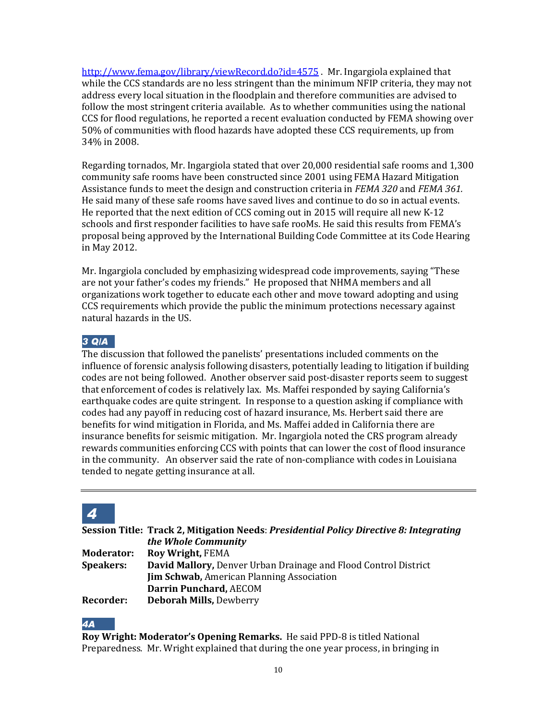<http://www.fema.gov/library/viewRecord.do?id=4575> . Mr. Ingargiola explained that while the CCS standards are no less stringent than the minimum NFIP criteria, they may not address every local situation in the floodplain and therefore communities are advised to follow the most stringent criteria available. As to whether communities using the national CCS for flood regulations, he reported a recent evaluation conducted by FEMA showing over 50% of communities with flood hazards have adopted these CCS requirements, up from 34% in 2008.

Regarding tornados, Mr. Ingargiola stated that over 20,000 residential safe rooms and 1,300 community safe rooms have been constructed since 2001 using FEMA Hazard Mitigation Assistance funds to meet the design and construction criteria in *FEMA 320* and *FEMA 361.*  He said many of these safe rooms have saved lives and continue to do so in actual events. He reported that the next edition of CCS coming out in 2015 will require all new K-12 schools and first responder facilities to have safe rooMs. He said this results from FEMA's proposal being approved by the International Building Code Committee at its Code Hearing in May 2012.

Mr. Ingargiola concluded by emphasizing widespread code improvements, saying "These are not your father's codes my friends." He proposed that NHMA members and all organizations work together to educate each other and move toward adopting and using CCS requirements which provide the public the minimum protections necessary against natural hazards in the US.

## *3 Q/A*

The discussion that followed the panelists' presentations included comments on the influence of forensic analysis following disasters, potentially leading to litigation if building codes are not being followed. Another observer said post-disaster reports seem to suggest that enforcement of codes is relatively lax. Ms. Maffei responded by saying California's earthquake codes are quite stringent. In response to a question asking if compliance with codes had any payoff in reducing cost of hazard insurance, Ms. Herbert said there are benefits for wind mitigation in Florida, and Ms. Maffei added in California there are insurance benefits for seismic mitigation. Mr. Ingargiola noted the CRS program already rewards communities enforcing CCS with points that can lower the cost of flood insurance in the community. An observer said the rate of non-compliance with codes in Louisiana tended to negate getting insurance at all.

## *4*

**Session Title: Track 2, Mitigation Needs**: *Presidential Policy Directive 8: Integrating the Whole Community*

| <b>Moderator:</b> | <b>Roy Wright, FEMA</b>                                                |
|-------------------|------------------------------------------------------------------------|
| <b>Speakers:</b>  | <b>David Mallory, Denver Urban Drainage and Flood Control District</b> |
|                   | <b>Jim Schwab, American Planning Association</b>                       |
|                   | Darrin Punchard, AECOM                                                 |
| Recorder:         | <b>Deborah Mills, Dewberry</b>                                         |

#### *4A*

**Roy Wright: Moderator's Opening Remarks.** He said PPD-8 is titled National Preparedness. Mr. Wright explained that during the one year process, in bringing in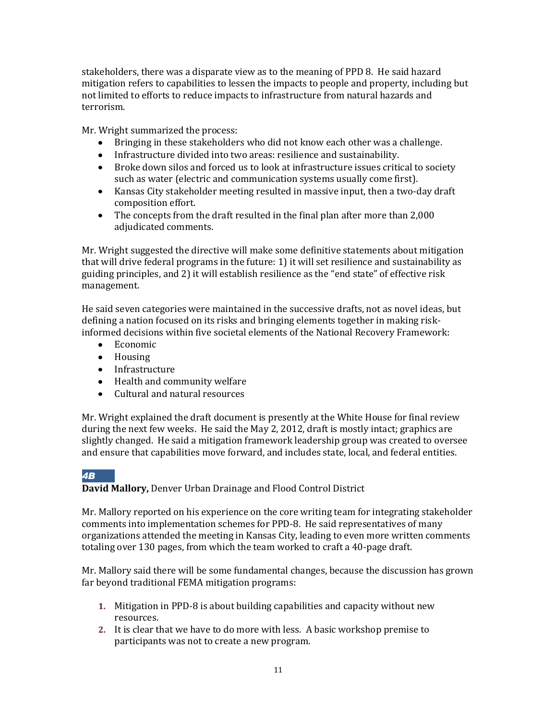stakeholders, there was a disparate view as to the meaning of PPD 8. He said hazard mitigation refers to capabilities to lessen the impacts to people and property, including but not limited to efforts to reduce impacts to infrastructure from natural hazards and terrorism.

Mr. Wright summarized the process:

- Bringing in these stakeholders who did not know each other was a challenge.
- Infrastructure divided into two areas: resilience and sustainability.
- Broke down silos and forced us to look at infrastructure issues critical to society such as water (electric and communication systems usually come first).
- Kansas City stakeholder meeting resulted in massive input, then a two-day draft composition effort.
- The concepts from the draft resulted in the final plan after more than 2,000 adjudicated comments.

Mr. Wright suggested the directive will make some definitive statements about mitigation that will drive federal programs in the future: 1) it will set resilience and sustainability as guiding principles, and 2) it will establish resilience as the "end state" of effective risk management.

He said seven categories were maintained in the successive drafts, not as novel ideas, but defining a nation focused on its risks and bringing elements together in making riskinformed decisions within five societal elements of the National Recovery Framework:

- Economic
- Housing
- Infrastructure
- Health and community welfare
- Cultural and natural resources

Mr. Wright explained the draft document is presently at the White House for final review during the next few weeks. He said the May 2, 2012, draft is mostly intact; graphics are slightly changed. He said a mitigation framework leadership group was created to oversee and ensure that capabilities move forward, and includes state, local, and federal entities.

## *4B*

## **David Mallory,** Denver Urban Drainage and Flood Control District

Mr. Mallory reported on his experience on the core writing team for integrating stakeholder comments into implementation schemes for PPD-8. He said representatives of many organizations attended the meeting in Kansas City, leading to even more written comments totaling over 130 pages, from which the team worked to craft a 40-page draft.

Mr. Mallory said there will be some fundamental changes, because the discussion has grown far beyond traditional FEMA mitigation programs:

- **1.** Mitigation in PPD-8 is about building capabilities and capacity without new resources.
- **2.** It is clear that we have to do more with less. A basic workshop premise to participants was not to create a new program.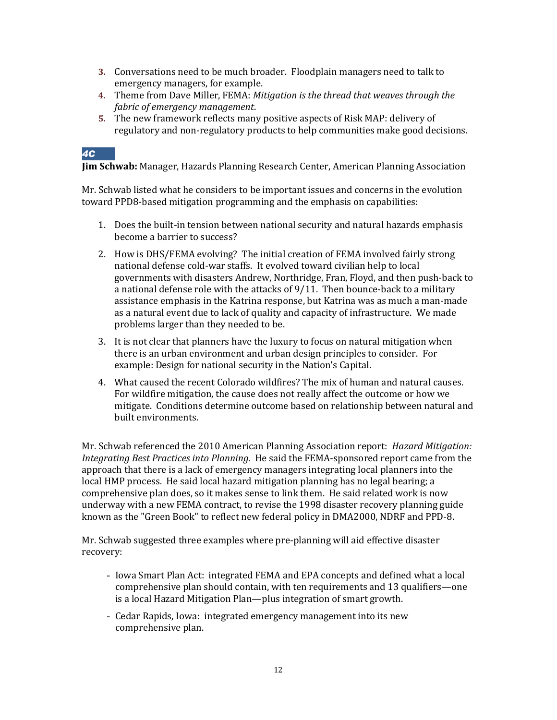- **3.** Conversations need to be much broader. Floodplain managers need to talk to emergency managers, for example.
- **4.** Theme from Dave Miller, FEMA: *Mitigation is the thread that weaves through the fabric of emergency management*.
- **5.** The new framework reflects many positive aspects of Risk MAP: delivery of regulatory and non-regulatory products to help communities make good decisions.

#### *4C*

**Jim Schwab:** Manager, Hazards Planning Research Center, American Planning Association

Mr. Schwab listed what he considers to be important issues and concerns in the evolution toward PPD8-based mitigation programming and the emphasis on capabilities:

- 1. Does the built-in tension between national security and natural hazards emphasis become a barrier to success?
- 2. How is DHS/FEMA evolving? The initial creation of FEMA involved fairly strong national defense cold-war staffs. It evolved toward civilian help to local governments with disasters Andrew, Northridge, Fran, Floyd, and then push-back to a national defense role with the attacks of 9/11. Then bounce-back to a military assistance emphasis in the Katrina response, but Katrina was as much a man-made as a natural event due to lack of quality and capacity of infrastructure. We made problems larger than they needed to be.
- 3. It is not clear that planners have the luxury to focus on natural mitigation when there is an urban environment and urban design principles to consider. For example: Design for national security in the Nation's Capital.
- 4. What caused the recent Colorado wildfires? The mix of human and natural causes. For wildfire mitigation, the cause does not really affect the outcome or how we mitigate. Conditions determine outcome based on relationship between natural and built environments.

Mr. Schwab referenced the 2010 American Planning Association report: *Hazard Mitigation: Integrating Best Practices into Planning.* He said the FEMA-sponsored report came from the approach that there is a lack of emergency managers integrating local planners into the local HMP process. He said local hazard mitigation planning has no legal bearing; a comprehensive plan does, so it makes sense to link them. He said related work is now underway with a new FEMA contract, to revise the 1998 disaster recovery planning guide known as the "Green Book" to reflect new federal policy in DMA2000, NDRF and PPD-8.

Mr. Schwab suggested three examples where pre-planning will aid effective disaster recovery:

- Iowa Smart Plan Act: integrated FEMA and EPA concepts and defined what a local comprehensive plan should contain, with ten requirements and 13 qualifiers—one is a local Hazard Mitigation Plan—plus integration of smart growth.
- Cedar Rapids, Iowa: integrated emergency management into its new comprehensive plan.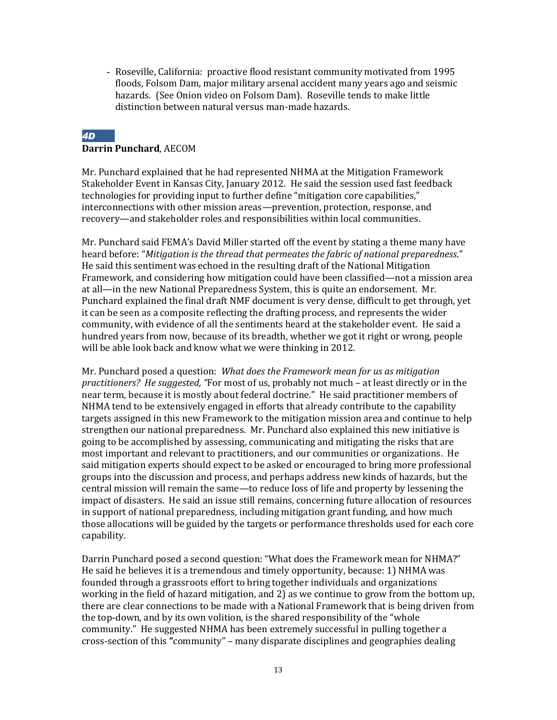- Roseville, California: proactive flood resistant community motivated from 1995 floods, Folsom Dam, major military arsenal accident many years ago and seismic hazards. (See Onion video on Folsom Dam). Roseville tends to make little distinction between natural versus man-made hazards.

#### *4D* **Darrin Punchard**, AECOM

Mr. Punchard explained that he had represented NHMA at the Mitigation Framework Stakeholder Event in Kansas City, January 2012. He said the session used fast feedback technologies for providing input to further define "mitigation core capabilities," interconnections with other mission areas—prevention, protection, response, and recovery—and stakeholder roles and responsibilities within local communities.

Mr. Punchard said FEMA's David Miller started off the event by stating a theme many have heard before: "*Mitigation is the thread that permeates the fabric of national preparedness*." He said this sentiment was echoed in the resulting draft of the National Mitigation Framework, and considering how mitigation could have been classified—not a mission area at all—in the new National Preparedness System, this is quite an endorsement. Mr. Punchard explained the final draft NMF document is very dense, difficult to get through, yet it can be seen as a composite reflecting the drafting process, and represents the wider community, with evidence of all the sentiments heard at the stakeholder event. He said a hundred years from now, because of its breadth, whether we got it right or wrong, people will be able look back and know what we were thinking in 2012.

Mr. Punchard posed a question: *What does the Framework mean for us as mitigation practitioners? He suggested, "*For most of us, probably not much – at least directly or in the near term, because it is mostly about federal doctrine." He said practitioner members of NHMA tend to be extensively engaged in efforts that already contribute to the capability targets assigned in this new Framework to the mitigation mission area and continue to help strengthen our national preparedness. Mr. Punchard also explained this new initiative is going to be accomplished by assessing, communicating and mitigating the risks that are most important and relevant to practitioners, and our communities or organizations. He said mitigation experts should expect to be asked or encouraged to bring more professional groups into the discussion and process, and perhaps address new kinds of hazards, but the central mission will remain the same—to reduce loss of life and property by lessening the impact of disasters. He said an issue still remains, concerning future allocation of resources in support of national preparedness, including mitigation grant funding, and how much those allocations will be guided by the targets or performance thresholds used for each core capability.

Darrin Punchard posed a second question: "What does the Framework mean for NHMA?" He said he believes it is a tremendous and timely opportunity, because: 1) NHMA was founded through a grassroots effort to bring together individuals and organizations working in the field of hazard mitigation, and 2) as we continue to grow from the bottom up, there are clear connections to be made with a National Framework that is being driven from the top-down, and by its own volition, is the shared responsibility of the "whole community." He suggested NHMA has been extremely successful in pulling together a cross-section of this **"**community" – many disparate disciplines and geographies dealing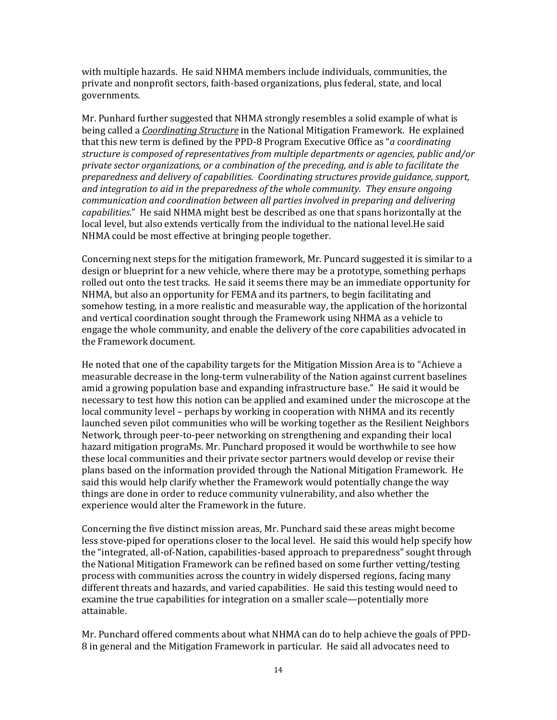with multiple hazards. He said NHMA members include individuals, communities, the private and nonprofit sectors, faith-based organizations, plus federal, state, and local governments.

Mr. Punhard further suggested that NHMA strongly resembles a solid example of what is being called a *Coordinating Structure* in the National Mitigation Framework. He explained that this new term is defined by the PPD-8 Program Executive Office as "*a coordinating structure is composed of representatives from multiple departments or agencies, public and/or private sector organizations, or a combination of the preceding, and is able to facilitate the preparedness and delivery of capabilities. Coordinating structures provide guidance, support, and integration to aid in the preparedness of the whole community. They ensure ongoing communication and coordination between all parties involved in preparing and delivering capabilities.*" He said NHMA might best be described as one that spans horizontally at the local level, but also extends vertically from the individual to the national level.He said NHMA could be most effective at bringing people together.

Concerning next steps for the mitigation framework, Mr. Puncard suggested it is similar to a design or blueprint for a new vehicle, where there may be a prototype, something perhaps rolled out onto the test tracks. He said it seems there may be an immediate opportunity for NHMA, but also an opportunity for FEMA and its partners, to begin facilitating and somehow testing, in a more realistic and measurable way, the application of the horizontal and vertical coordination sought through the Framework using NHMA as a vehicle to engage the whole community, and enable the delivery of the core capabilities advocated in the Framework document.

He noted that one of the capability targets for the Mitigation Mission Area is to "Achieve a measurable decrease in the long-term vulnerability of the Nation against current baselines amid a growing population base and expanding infrastructure base." He said it would be necessary to test how this notion can be applied and examined under the microscope at the local community level – perhaps by working in cooperation with NHMA and its recently launched seven pilot communities who will be working together as the Resilient Neighbors Network, through peer-to-peer networking on strengthening and expanding their local hazard mitigation prograMs. Mr. Punchard proposed it would be worthwhile to see how these local communities and their private sector partners would develop or revise their plans based on the information provided through the National Mitigation Framework. He said this would help clarify whether the Framework would potentially change the way things are done in order to reduce community vulnerability, and also whether the experience would alter the Framework in the future.

Concerning the five distinct mission areas, Mr. Punchard said these areas might become less stove-piped for operations closer to the local level. He said this would help specify how the "integrated, all-of-Nation, capabilities-based approach to preparedness" sought through the National Mitigation Framework can be refined based on some further vetting/testing process with communities across the country in widely dispersed regions, facing many different threats and hazards, and varied capabilities. He said this testing would need to examine the true capabilities for integration on a smaller scale—potentially more attainable.

Mr. Punchard offered comments about what NHMA can do to help achieve the goals of PPD-8 in general and the Mitigation Framework in particular. He said all advocates need to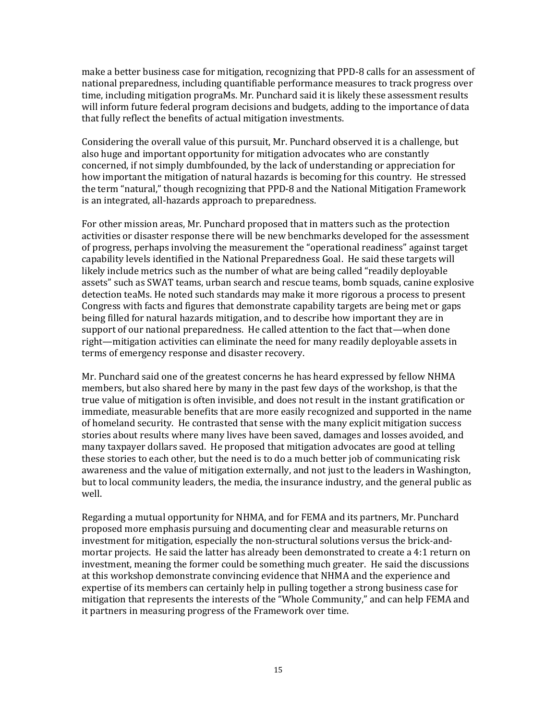make a better business case for mitigation, recognizing that PPD-8 calls for an assessment of national preparedness, including quantifiable performance measures to track progress over time, including mitigation prograMs. Mr. Punchard said it is likely these assessment results will inform future federal program decisions and budgets, adding to the importance of data that fully reflect the benefits of actual mitigation investments.

Considering the overall value of this pursuit, Mr. Punchard observed it is a challenge, but also huge and important opportunity for mitigation advocates who are constantly concerned, if not simply dumbfounded, by the lack of understanding or appreciation for how important the mitigation of natural hazards is becoming for this country. He stressed the term "natural," though recognizing that PPD-8 and the National Mitigation Framework is an integrated, all-hazards approach to preparedness.

For other mission areas, Mr. Punchard proposed that in matters such as the protection activities or disaster response there will be new benchmarks developed for the assessment of progress, perhaps involving the measurement the "operational readiness" against target capability levels identified in the National Preparedness Goal. He said these targets will likely include metrics such as the number of what are being called "readily deployable assets" such as SWAT teams, urban search and rescue teams, bomb squads, canine explosive detection teaMs. He noted such standards may make it more rigorous a process to present Congress with facts and figures that demonstrate capability targets are being met or gaps being filled for natural hazards mitigation, and to describe how important they are in support of our national preparedness. He called attention to the fact that—when done right—mitigation activities can eliminate the need for many readily deployable assets in terms of emergency response and disaster recovery.

Mr. Punchard said one of the greatest concerns he has heard expressed by fellow NHMA members, but also shared here by many in the past few days of the workshop, is that the true value of mitigation is often invisible, and does not result in the instant gratification or immediate, measurable benefits that are more easily recognized and supported in the name of homeland security. He contrasted that sense with the many explicit mitigation success stories about results where many lives have been saved, damages and losses avoided, and many taxpayer dollars saved. He proposed that mitigation advocates are good at telling these stories to each other, but the need is to do a much better job of communicating risk awareness and the value of mitigation externally, and not just to the leaders in Washington, but to local community leaders, the media, the insurance industry, and the general public as well.

Regarding a mutual opportunity for NHMA, and for FEMA and its partners, Mr. Punchard proposed more emphasis pursuing and documenting clear and measurable returns on investment for mitigation, especially the non-structural solutions versus the brick-andmortar projects. He said the latter has already been demonstrated to create a 4:1 return on investment, meaning the former could be something much greater. He said the discussions at this workshop demonstrate convincing evidence that NHMA and the experience and expertise of its members can certainly help in pulling together a strong business case for mitigation that represents the interests of the "Whole Community," and can help FEMA and it partners in measuring progress of the Framework over time.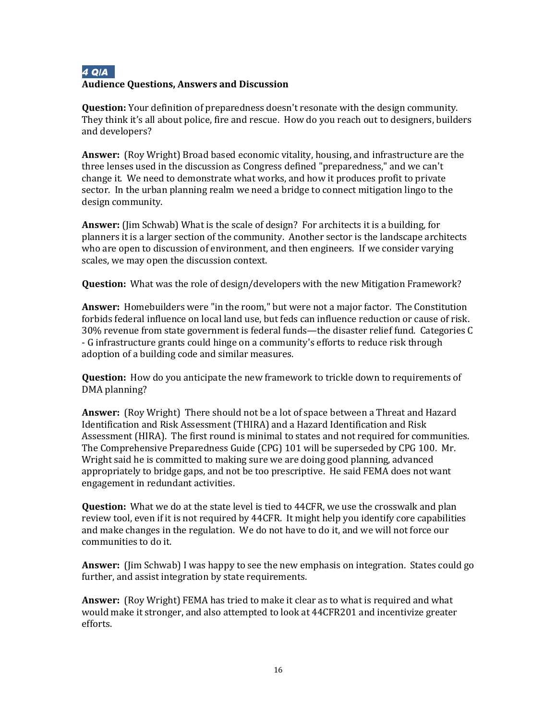## *4 Q/A* **Audience Questions, Answers and Discussion**

**Question:** Your definition of preparedness doesn't resonate with the design community. They think it's all about police, fire and rescue. How do you reach out to designers, builders and developers?

**Answer:** (Roy Wright) Broad based economic vitality, housing, and infrastructure are the three lenses used in the discussion as Congress defined "preparedness," and we can't change it. We need to demonstrate what works, and how it produces profit to private sector. In the urban planning realm we need a bridge to connect mitigation lingo to the design community.

**Answer:** (Jim Schwab) What is the scale of design? For architects it is a building, for planners it is a larger section of the community. Another sector is the landscape architects who are open to discussion of environment, and then engineers. If we consider varying scales, we may open the discussion context.

**Question:** What was the role of design/developers with the new Mitigation Framework?

**Answer:** Homebuilders were "in the room," but were not a major factor. The Constitution forbids federal influence on local land use, but feds can influence reduction or cause of risk. 30% revenue from state government is federal funds—the disaster relief fund. Categories C - G infrastructure grants could hinge on a community's efforts to reduce risk through adoption of a building code and similar measures.

**Question:** How do you anticipate the new framework to trickle down to requirements of DMA planning?

**Answer:** (Roy Wright) There should not be a lot of space between a Threat and Hazard Identification and Risk Assessment (THIRA) and a Hazard Identification and Risk Assessment (HIRA). The first round is minimal to states and not required for communities. The Comprehensive Preparedness Guide (CPG) 101 will be superseded by CPG 100. Mr. Wright said he is committed to making sure we are doing good planning, advanced appropriately to bridge gaps, and not be too prescriptive. He said FEMA does not want engagement in redundant activities.

**Question:** What we do at the state level is tied to 44CFR, we use the crosswalk and plan review tool, even if it is not required by 44CFR. It might help you identify core capabilities and make changes in the regulation. We do not have to do it, and we will not force our communities to do it.

**Answer:** (Jim Schwab) I was happy to see the new emphasis on integration. States could go further, and assist integration by state requirements.

**Answer:** (Roy Wright) FEMA has tried to make it clear as to what is required and what would make it stronger, and also attempted to look at 44CFR201 and incentivize greater efforts.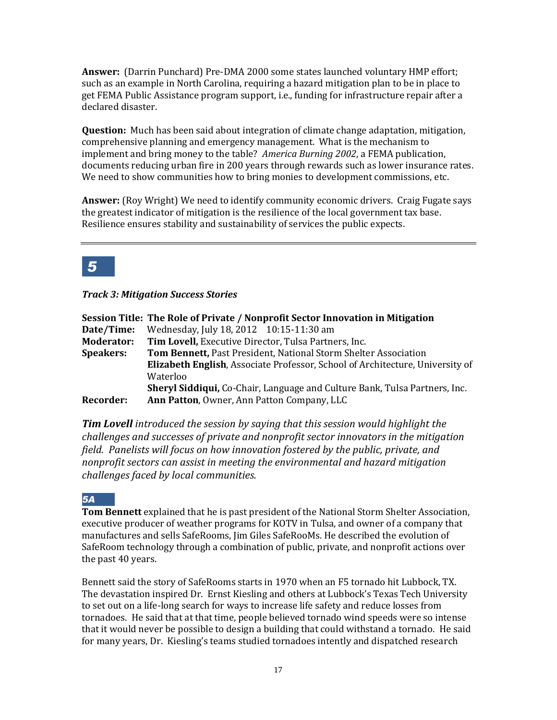**Answer:** (Darrin Punchard) Pre-DMA 2000 some states launched voluntary HMP effort; such as an example in North Carolina, requiring a hazard mitigation plan to be in place to get FEMA Public Assistance program support, i.e., funding for infrastructure repair after a declared disaster.

**Question:** Much has been said about integration of climate change adaptation, mitigation, comprehensive planning and emergency management. What is the mechanism to implement and bring money to the table? *America Burning 2002*, a FEMA publication, documents reducing urban fire in 200 years through rewards such as lower insurance rates. We need to show communities how to bring monies to development commissions, etc.

**Answer:** (Roy Wright) We need to identify community economic drivers. Craig Fugate says the greatest indicator of mitigation is the resilience of the local government tax base. Resilience ensures stability and sustainability of services the public expects.

## *5*

*Track 3: Mitigation Success Stories* 

|                   | Session Title: The Role of Private / Nonprofit Sector Innovation in Mitigation       |
|-------------------|--------------------------------------------------------------------------------------|
| Date/Time:        | Wednesday, July 18, 2012 10:15-11:30 am                                              |
| <b>Moderator:</b> | Tim Lovell, Executive Director, Tulsa Partners, Inc.                                 |
| <b>Speakers:</b>  | Tom Bennett, Past President, National Storm Shelter Association                      |
|                   | <b>Elizabeth English, Associate Professor, School of Architecture, University of</b> |
|                   | Waterloo                                                                             |
|                   | <b>Sheryl Siddiqui, Co-Chair, Language and Culture Bank, Tulsa Partners, Inc.</b>    |
| <b>Recorder:</b>  | Ann Patton, Owner, Ann Patton Company, LLC                                           |

*Tim Lovell introduced the session by saying that this session would highlight the challenges and successes of private and nonprofit sector innovators in the mitigation field. Panelists will focus on how innovation fostered by the public, private, and nonprofit sectors can assist in meeting the environmental and hazard mitigation challenges faced by local communities.*

## *5A*

**Tom Bennett** explained that he is past president of the National Storm Shelter Association, executive producer of weather programs for KOTV in Tulsa, and owner of a company that manufactures and sells SafeRooms, Jim Giles SafeRooMs. He described the evolution of SafeRoom technology through a combination of public, private, and nonprofit actions over the past 40 years.

Bennett said the story of SafeRooms starts in 1970 when an F5 tornado hit Lubbock, TX. The devastation inspired Dr. Ernst Kiesling and others at Lubbock's Texas Tech University to set out on a life-long search for ways to increase life safety and reduce losses from tornadoes. He said that at that time, people believed tornado wind speeds were so intense that it would never be possible to design a building that could withstand a tornado. He said for many years, Dr. Kiesling's teams studied tornadoes intently and dispatched research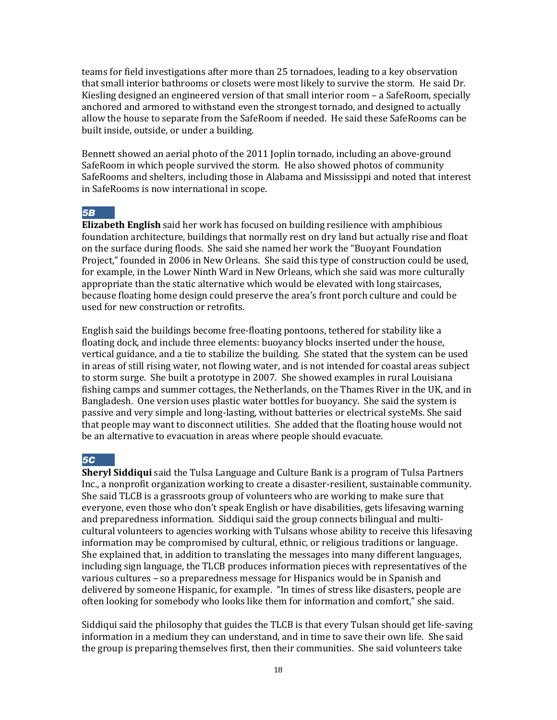teams for field investigations after more than 25 tornadoes, leading to a key observation that small interior bathrooms or closets were most likely to survive the storm. He said Dr. Kiesling designed an engineered version of that small interior room – a SafeRoom, specially anchored and armored to withstand even the strongest tornado, and designed to actually allow the house to separate from the SafeRoom if needed. He said these SafeRooms can be built inside, outside, or under a building.

Bennett showed an aerial photo of the 2011 Joplin tornado, including an above-ground SafeRoom in which people survived the storm. He also showed photos of community SafeRooms and shelters, including those in Alabama and Mississippi and noted that interest in SafeRooms is now international in scope.

#### *5B*

**Elizabeth English** said her work has focused on building resilience with amphibious foundation architecture, buildings that normally rest on dry land but actually rise and float on the surface during floods. She said she named her work the "Buoyant Foundation Project," founded in 2006 in New Orleans. She said this type of construction could be used, for example, in the Lower Ninth Ward in New Orleans, which she said was more culturally appropriate than the static alternative which would be elevated with long staircases, because floating home design could preserve the area's front porch culture and could be used for new construction or retrofits.

English said the buildings become free-floating pontoons, tethered for stability like a floating dock, and include three elements: buoyancy blocks inserted under the house, vertical guidance, and a tie to stabilize the building. She stated that the system can be used in areas of still rising water, not flowing water, and is not intended for coastal areas subject to storm surge. She built a prototype in 2007. She showed examples in rural Louisiana fishing camps and summer cottages, the Netherlands, on the Thames River in the UK, and in Bangladesh. One version uses plastic water bottles for buoyancy. She said the system is passive and very simple and long-lasting, without batteries or electrical systeMs. She said that people may want to disconnect utilities. She added that the floating house would not be an alternative to evacuation in areas where people should evacuate.

#### *5C*

**Sheryl Siddiqui** said the Tulsa Language and Culture Bank is a program of Tulsa Partners Inc., a nonprofit organization working to create a disaster-resilient, sustainable community. She said TLCB is a grassroots group of volunteers who are working to make sure that everyone, even those who don't speak English or have disabilities, gets lifesaving warning and preparedness information. Siddiqui said the group connects bilingual and multicultural volunteers to agencies working with Tulsans whose ability to receive this lifesaving information may be compromised by cultural, ethnic, or religious traditions or language. She explained that, in addition to translating the messages into many different languages, including sign language, the TLCB produces information pieces with representatives of the various cultures – so a preparedness message for Hispanics would be in Spanish and delivered by someone Hispanic, for example. "In times of stress like disasters, people are often looking for somebody who looks like them for information and comfort," she said.

Siddiqui said the philosophy that guides the TLCB is that every Tulsan should get life-saving information in a medium they can understand, and in time to save their own life. She said the group is preparing themselves first, then their communities. She said volunteers take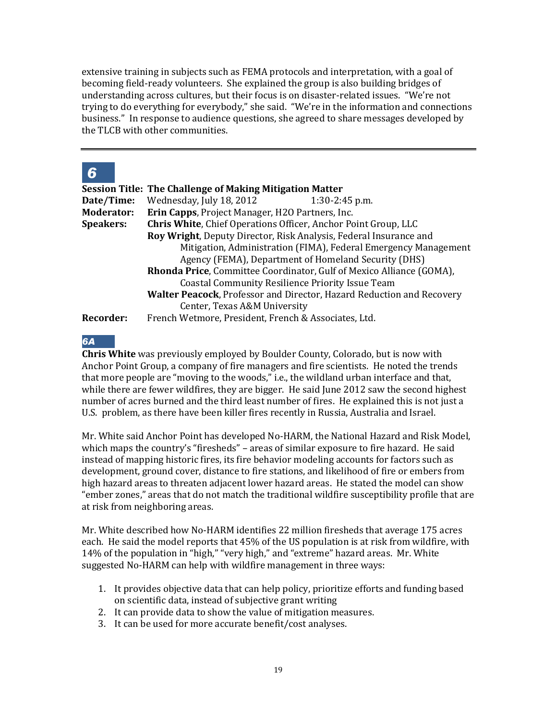extensive training in subjects such as FEMA protocols and interpretation, with a goal of becoming field-ready volunteers. She explained the group is also building bridges of understanding across cultures, but their focus is on disaster-related issues. "We're not trying to do everything for everybody," she said. "We're in the information and connections business." In response to audience questions, she agreed to share messages developed by the TLCB with other communities.

## *6*

|                   | <b>Session Title: The Challenge of Making Mitigation Matter</b>               |
|-------------------|-------------------------------------------------------------------------------|
| Date/Time:        | Wednesday, July 18, 2012<br>$1:30-2:45$ p.m.                                  |
| <b>Moderator:</b> | Erin Capps, Project Manager, H2O Partners, Inc.                               |
| <b>Speakers:</b>  | Chris White, Chief Operations Officer, Anchor Point Group, LLC                |
|                   | <b>Roy Wright, Deputy Director, Risk Analysis, Federal Insurance and</b>      |
|                   | Mitigation, Administration (FIMA), Federal Emergency Management               |
|                   | Agency (FEMA), Department of Homeland Security (DHS)                          |
|                   | Rhonda Price, Committee Coordinator, Gulf of Mexico Alliance (GOMA),          |
|                   | <b>Coastal Community Resilience Priority Issue Team</b>                       |
|                   | <b>Walter Peacock</b> , Professor and Director, Hazard Reduction and Recovery |
|                   | Center, Texas A&M University                                                  |
| Recorder:         | French Wetmore, President, French & Associates, Ltd.                          |

*6A*

**Chris White** was previously employed by Boulder County, Colorado, but is now with Anchor Point Group, a company of fire managers and fire scientists. He noted the trends that more people are "moving to the woods," i.e., the wildland urban interface and that, while there are fewer wildfires, they are bigger. He said June 2012 saw the second highest number of acres burned and the third least number of fires. He explained this is not just a U.S. problem, as there have been killer fires recently in Russia, Australia and Israel.

Mr. White said Anchor Point has developed No-HARM, the National Hazard and Risk Model, which maps the country's "firesheds" – areas of similar exposure to fire hazard. He said instead of mapping historic fires, its fire behavior modeling accounts for factors such as development, ground cover, distance to fire stations, and likelihood of fire or embers from high hazard areas to threaten adjacent lower hazard areas. He stated the model can show "ember zones," areas that do not match the traditional wildfire susceptibility profile that are at risk from neighboring areas.

Mr. White described how No-HARM identifies 22 million firesheds that average 175 acres each. He said the model reports that 45% of the US population is at risk from wildfire, with 14% of the population in "high," "very high," and "extreme" hazard areas. Mr. White suggested No-HARM can help with wildfire management in three ways:

- 1. It provides objective data that can help policy, prioritize efforts and funding based on scientific data, instead of subjective grant writing
- 2. It can provide data to show the value of mitigation measures.
- 3. It can be used for more accurate benefit/cost analyses.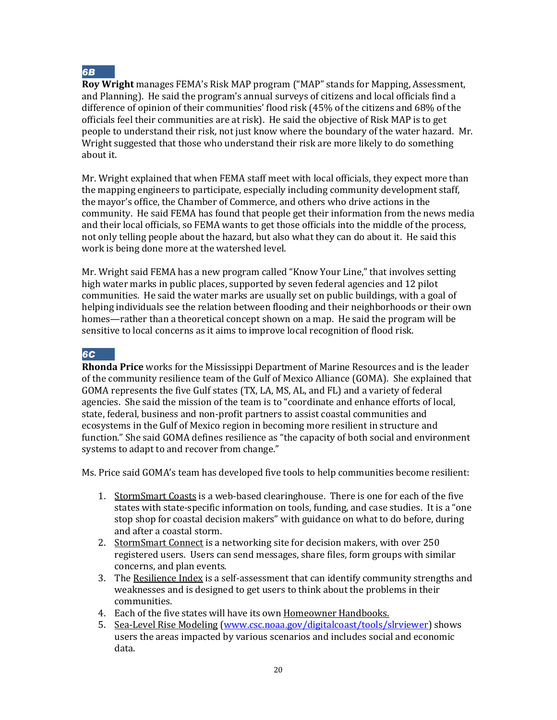

**Roy Wright** manages FEMA's Risk MAP program ("MAP" stands for Mapping, Assessment, and Planning). He said the program's annual surveys of citizens and local officials find a difference of opinion of their communities' flood risk (45% of the citizens and 68% of the officials feel their communities are at risk). He said the objective of Risk MAP is to get people to understand their risk, not just know where the boundary of the water hazard. Mr. Wright suggested that those who understand their risk are more likely to do something about it.

Mr. Wright explained that when FEMA staff meet with local officials, they expect more than the mapping engineers to participate, especially including community development staff, the mayor's office, the Chamber of Commerce, and others who drive actions in the community. He said FEMA has found that people get their information from the news media and their local officials, so FEMA wants to get those officials into the middle of the process, not only telling people about the hazard, but also what they can do about it. He said this work is being done more at the watershed level.

Mr. Wright said FEMA has a new program called "Know Your Line," that involves setting high water marks in public places, supported by seven federal agencies and 12 pilot communities. He said the water marks are usually set on public buildings, with a goal of helping individuals see the relation between flooding and their neighborhoods or their own homes—rather than a theoretical concept shown on a map. He said the program will be sensitive to local concerns as it aims to improve local recognition of flood risk.

#### *6C*

**Rhonda Price** works for the Mississippi Department of Marine Resources and is the leader of the community resilience team of the Gulf of Mexico Alliance (GOMA). She explained that GOMA represents the five Gulf states (TX, LA, MS, AL, and FL) and a variety of federal agencies. She said the mission of the team is to "coordinate and enhance efforts of local, state, federal, business and non-profit partners to assist coastal communities and ecosystems in the Gulf of Mexico region in becoming more resilient in structure and function." She said GOMA defines resilience as "the capacity of both social and environment systems to adapt to and recover from change."

Ms. Price said GOMA's team has developed five tools to help communities become resilient:

- 1. StormSmart Coasts is a web-based clearinghouse. There is one for each of the five states with state-specific information on tools, funding, and case studies. It is a "one stop shop for coastal decision makers" with guidance on what to do before, during and after a coastal storm.
- 2. StormSmart Connect is a networking site for decision makers, with over 250 registered users. Users can send messages, share files, form groups with similar concerns, and plan events.
- 3. The Resilience Index is a self-assessment that can identify community strengths and weaknesses and is designed to get users to think about the problems in their communities.
- 4. Each of the five states will have its own Homeowner Handbooks.
- 5. Sea-Level Rise Modeling [\(www.csc.noaa.gov/digitalcoast/tools/slrviewer\)](http://www.csc.noaa.gov/digitalcoast/tools/slrviewer) shows users the areas impacted by various scenarios and includes social and economic data.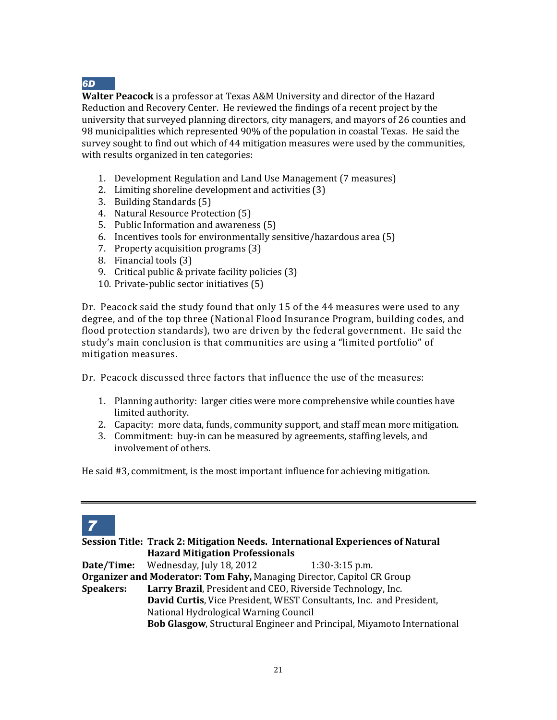

**Walter Peacock** is a professor at Texas A&M University and director of the Hazard Reduction and Recovery Center. He reviewed the findings of a recent project by the university that surveyed planning directors, city managers, and mayors of 26 counties and 98 municipalities which represented 90% of the population in coastal Texas. He said the survey sought to find out which of 44 mitigation measures were used by the communities, with results organized in ten categories:

- 1. Development Regulation and Land Use Management (7 measures)
- 2. Limiting shoreline development and activities (3)
- 3. Building Standards (5)
- 4. Natural Resource Protection (5)
- 5. Public Information and awareness (5)
- 6. Incentives tools for environmentally sensitive/hazardous area (5)
- 7. Property acquisition programs (3)
- 8. Financial tools (3)
- 9. Critical public & private facility policies (3)
- 10. Private-public sector initiatives (5)

Dr. Peacock said the study found that only 15 of the 44 measures were used to any degree, and of the top three (National Flood Insurance Program, building codes, and flood protection standards), two are driven by the federal government. He said the study's main conclusion is that communities are using a "limited portfolio" of mitigation measures.

Dr. Peacock discussed three factors that influence the use of the measures:

- 1. Planning authority: larger cities were more comprehensive while counties have limited authority.
- 2. Capacity: more data, funds, community support, and staff mean more mitigation.
- 3. Commitment: buy-in can be measured by agreements, staffing levels, and involvement of others.

He said #3, commitment, is the most important influence for achieving mitigation.



**Session Title: Track 2: Mitigation Needs. International Experiences of Natural Hazard Mitigation Professionals Date/Time:** Wednesday, July 18, 2012 1:30-3:15 p.m. **Organizer and Moderator: Tom Fahy,** Managing Director, Capitol CR Group **Speakers: Larry Brazil**, President and CEO, Riverside Technology, Inc. **David Curtis**, Vice President, WEST Consultants, Inc. and President, National Hydrological Warning Council **Bob Glasgow**, Structural Engineer and Principal, Miyamoto International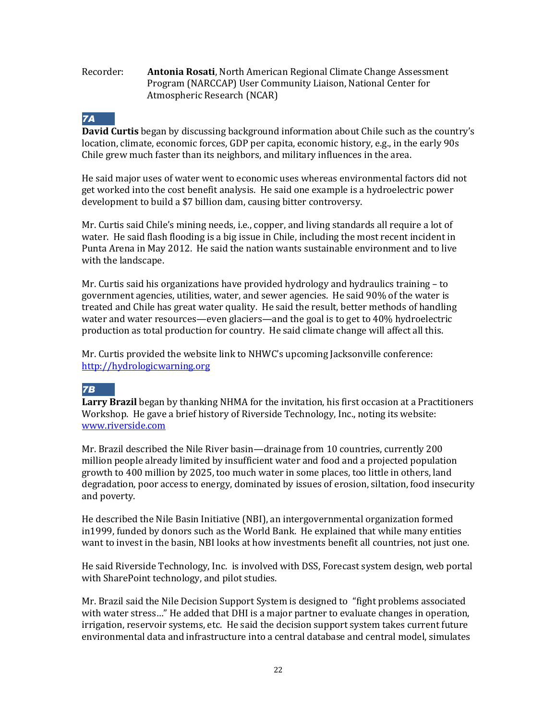#### Recorder: **Antonia Rosati**, North American Regional Climate Change Assessment Program (NARCCAP) User Community Liaison, National Center for Atmospheric Research (NCAR)

## *7A*

**David Curtis** began by discussing background information about Chile such as the country's location, climate, economic forces, GDP per capita, economic history, e.g., in the early 90s Chile grew much faster than its neighbors, and military influences in the area.

He said major uses of water went to economic uses whereas environmental factors did not get worked into the cost benefit analysis. He said one example is a hydroelectric power development to build a \$7 billion dam, causing bitter controversy.

Mr. Curtis said Chile's mining needs, i.e., copper, and living standards all require a lot of water. He said flash flooding is a big issue in Chile, including the most recent incident in Punta Arena in May 2012. He said the nation wants sustainable environment and to live with the landscape.

Mr. Curtis said his organizations have provided hydrology and hydraulics training – to government agencies, utilities, water, and sewer agencies. He said 90% of the water is treated and Chile has great water quality. He said the result, better methods of handling water and water resources—even glaciers—and the goal is to get to 40% hydroelectric production as total production for country. He said climate change will affect all this.

Mr. Curtis provided the website link to NHWC's upcoming Jacksonville conference: [http://hydrologicwarning.org](http://hydrologicwarning.org/)

## *7B*

**Larry Brazil** began by thanking NHMA for the invitation, his first occasion at a Practitioners Workshop. He gave a brief history of Riverside Technology, Inc., noting its website: [www.riverside.com](http://www.riverside.com/)

Mr. Brazil described the Nile River basin—drainage from 10 countries, currently 200 million people already limited by insufficient water and food and a projected population growth to 400 million by 2025, too much water in some places, too little in others, land degradation, poor access to energy, dominated by issues of erosion, siltation, food insecurity and poverty.

He described the Nile Basin Initiative (NBI), an intergovernmental organization formed in1999, funded by donors such as the World Bank. He explained that while many entities want to invest in the basin, NBI looks at how investments benefit all countries, not just one.

He said Riverside Technology, Inc. is involved with DSS, Forecast system design, web portal with SharePoint technology, and pilot studies.

Mr. Brazil said the Nile Decision Support System is designed to "fight problems associated with water stress…" He added that DHI is a major partner to evaluate changes in operation, irrigation, reservoir systems, etc. He said the decision support system takes current future environmental data and infrastructure into a central database and central model, simulates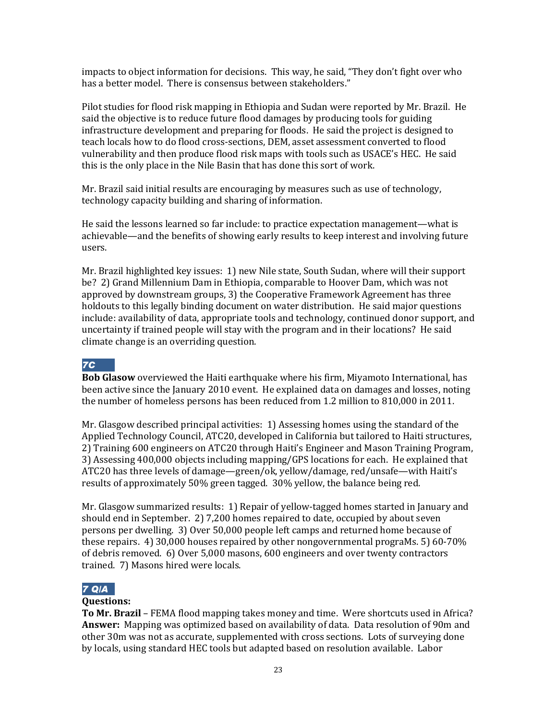impacts to object information for decisions. This way, he said, "They don't fight over who has a better model. There is consensus between stakeholders."

Pilot studies for flood risk mapping in Ethiopia and Sudan were reported by Mr. Brazil. He said the objective is to reduce future flood damages by producing tools for guiding infrastructure development and preparing for floods. He said the project is designed to teach locals how to do flood cross-sections, DEM, asset assessment converted to flood vulnerability and then produce flood risk maps with tools such as USACE's HEC. He said this is the only place in the Nile Basin that has done this sort of work.

Mr. Brazil said initial results are encouraging by measures such as use of technology, technology capacity building and sharing of information.

He said the lessons learned so far include: to practice expectation management—what is achievable—and the benefits of showing early results to keep interest and involving future users.

Mr. Brazil highlighted key issues: 1) new Nile state, South Sudan, where will their support be? 2) Grand Millennium Dam in Ethiopia, comparable to Hoover Dam, which was not approved by downstream groups, 3) the Cooperative Framework Agreement has three holdouts to this legally binding document on water distribution. He said major questions include: availability of data, appropriate tools and technology, continued donor support, and uncertainty if trained people will stay with the program and in their locations? He said climate change is an overriding question.

## *7C*

**Bob Glasow** overviewed the Haiti earthquake where his firm, Miyamoto International, has been active since the January 2010 event. He explained data on damages and losses, noting the number of homeless persons has been reduced from 1.2 million to 810,000 in 2011.

Mr. Glasgow described principal activities: 1) Assessing homes using the standard of the Applied Technology Council, ATC20, developed in California but tailored to Haiti structures, 2) Training 600 engineers on ATC20 through Haiti's Engineer and Mason Training Program, 3) Assessing 400,000 objects including mapping/GPS locations for each. He explained that ATC20 has three levels of damage—green/ok, yellow/damage, red/unsafe—with Haiti's results of approximately 50% green tagged. 30% yellow, the balance being red.

Mr. Glasgow summarized results: 1) Repair of yellow-tagged homes started in January and should end in September. 2) 7,200 homes repaired to date, occupied by about seven persons per dwelling. 3) Over 50,000 people left camps and returned home because of these repairs. 4) 30,000 houses repaired by other nongovernmental prograMs. 5) 60-70% of debris removed. 6) Over 5,000 masons, 600 engineers and over twenty contractors trained. 7) Masons hired were locals.

## *7 Q/A*

#### **Questions:**

**To Mr. Brazil** – FEMA flood mapping takes money and time. Were shortcuts used in Africa? **Answer:** Mapping was optimized based on availability of data. Data resolution of 90m and other 30m was not as accurate, supplemented with cross sections. Lots of surveying done by locals, using standard HEC tools but adapted based on resolution available. Labor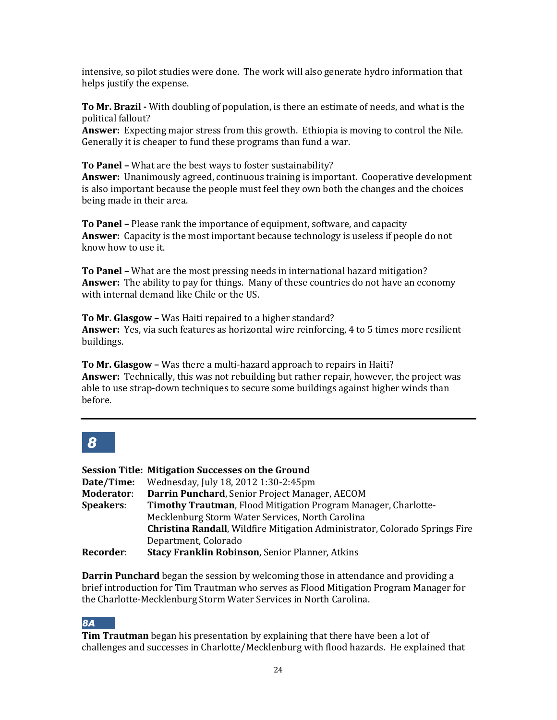intensive, so pilot studies were done. The work will also generate hydro information that helps justify the expense.

**To Mr. Brazil -** With doubling of population, is there an estimate of needs, and what is the political fallout?

**Answer:** Expecting major stress from this growth. Ethiopia is moving to control the Nile. Generally it is cheaper to fund these programs than fund a war.

**To Panel –** What are the best ways to foster sustainability?

**Answer:** Unanimously agreed, continuous training is important. Cooperative development is also important because the people must feel they own both the changes and the choices being made in their area.

**To Panel –** Please rank the importance of equipment, software, and capacity **Answer:** Capacity is the most important because technology is useless if people do not know how to use it.

**To Panel –** What are the most pressing needs in international hazard mitigation? **Answer:** The ability to pay for things. Many of these countries do not have an economy with internal demand like Chile or the US.

**To Mr. Glasgow –** Was Haiti repaired to a higher standard? **Answer:** Yes, via such features as horizontal wire reinforcing, 4 to 5 times more resilient buildings.

**To Mr. Glasgow –** Was there a multi-hazard approach to repairs in Haiti? **Answer:** Technically, this was not rebuilding but rather repair, however, the project was able to use strap-down techniques to secure some buildings against higher winds than before.

## *8*

|                   | <b>Session Title: Mitigation Successes on the Ground</b>                    |
|-------------------|-----------------------------------------------------------------------------|
| Date/Time:        | Wednesday, July 18, 2012 1:30-2:45pm                                        |
| <b>Moderator:</b> | Darrin Punchard, Senior Project Manager, AECOM                              |
| <b>Speakers:</b>  | Timothy Trautman, Flood Mitigation Program Manager, Charlotte-              |
|                   | Mecklenburg Storm Water Services, North Carolina                            |
|                   | Christina Randall, Wildfire Mitigation Administrator, Colorado Springs Fire |
|                   | Department, Colorado                                                        |
| <b>Recorder:</b>  | <b>Stacy Franklin Robinson, Senior Planner, Atkins</b>                      |

**Darrin Punchard** began the session by welcoming those in attendance and providing a brief introduction for Tim Trautman who serves as Flood Mitigation Program Manager for the Charlotte-Mecklenburg Storm Water Services in North Carolina.

## *8A*

**Tim Trautman** began his presentation by explaining that there have been a lot of challenges and successes in Charlotte/Mecklenburg with flood hazards. He explained that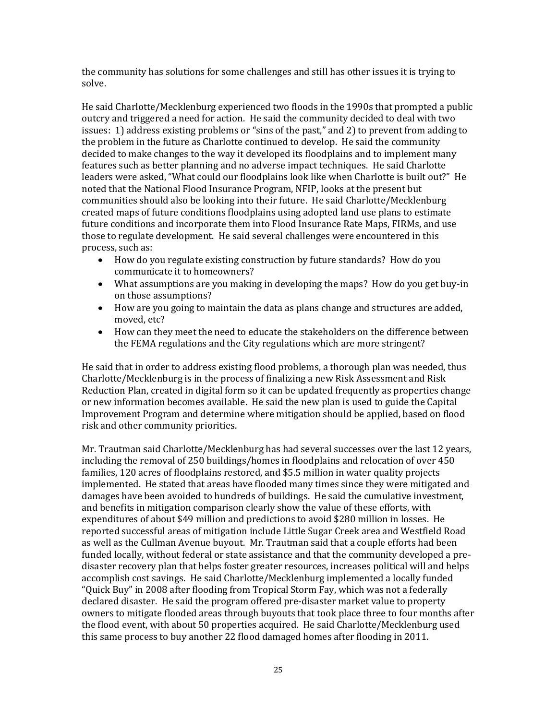the community has solutions for some challenges and still has other issues it is trying to solve.

He said Charlotte/Mecklenburg experienced two floods in the 1990s that prompted a public outcry and triggered a need for action. He said the community decided to deal with two issues: 1) address existing problems or "sins of the past," and 2) to prevent from adding to the problem in the future as Charlotte continued to develop. He said the community decided to make changes to the way it developed its floodplains and to implement many features such as better planning and no adverse impact techniques. He said Charlotte leaders were asked, "What could our floodplains look like when Charlotte is built out?" He noted that the National Flood Insurance Program, NFIP, looks at the present but communities should also be looking into their future. He said Charlotte/Mecklenburg created maps of future conditions floodplains using adopted land use plans to estimate future conditions and incorporate them into Flood Insurance Rate Maps, FIRMs, and use those to regulate development. He said several challenges were encountered in this process, such as:

- How do you regulate existing construction by future standards? How do you communicate it to homeowners?
- What assumptions are you making in developing the maps? How do you get buy-in on those assumptions?
- How are you going to maintain the data as plans change and structures are added, moved, etc?
- How can they meet the need to educate the stakeholders on the difference between the FEMA regulations and the City regulations which are more stringent?

He said that in order to address existing flood problems, a thorough plan was needed, thus Charlotte/Mecklenburg is in the process of finalizing a new Risk Assessment and Risk Reduction Plan, created in digital form so it can be updated frequently as properties change or new information becomes available. He said the new plan is used to guide the Capital Improvement Program and determine where mitigation should be applied, based on flood risk and other community priorities.

Mr. Trautman said Charlotte/Mecklenburg has had several successes over the last 12 years, including the removal of 250 buildings/homes in floodplains and relocation of over 450 families, 120 acres of floodplains restored, and \$5.5 million in water quality projects implemented. He stated that areas have flooded many times since they were mitigated and damages have been avoided to hundreds of buildings. He said the cumulative investment, and benefits in mitigation comparison clearly show the value of these efforts, with expenditures of about \$49 million and predictions to avoid \$280 million in losses. He reported successful areas of mitigation include Little Sugar Creek area and Westfield Road as well as the Cullman Avenue buyout. Mr. Trautman said that a couple efforts had been funded locally, without federal or state assistance and that the community developed a predisaster recovery plan that helps foster greater resources, increases political will and helps accomplish cost savings. He said Charlotte/Mecklenburg implemented a locally funded "Quick Buy" in 2008 after flooding from Tropical Storm Fay, which was not a federally declared disaster. He said the program offered pre-disaster market value to property owners to mitigate flooded areas through buyouts that took place three to four months after the flood event, with about 50 properties acquired. He said Charlotte/Mecklenburg used this same process to buy another 22 flood damaged homes after flooding in 2011.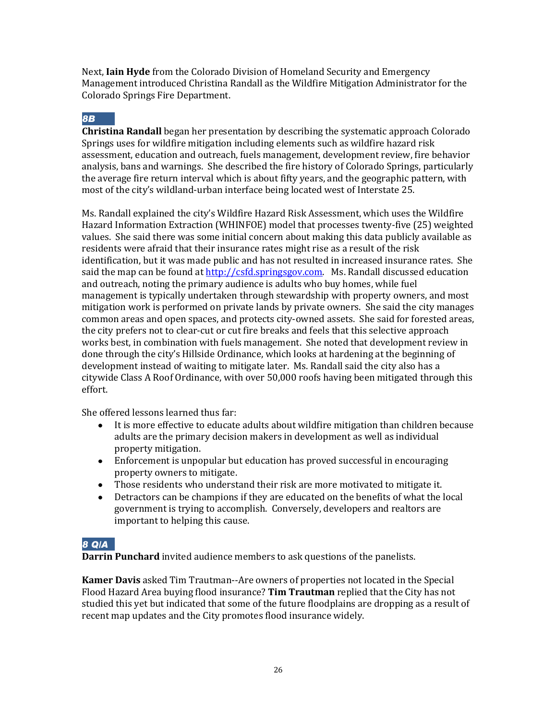Next, **Iain Hyde** from the Colorado Division of Homeland Security and Emergency Management introduced Christina Randall as the Wildfire Mitigation Administrator for the Colorado Springs Fire Department.

#### *8B*

**Christina Randall** began her presentation by describing the systematic approach Colorado Springs uses for wildfire mitigation including elements such as wildfire hazard risk assessment, education and outreach, fuels management, development review, fire behavior analysis, bans and warnings. She described the fire history of Colorado Springs, particularly the average fire return interval which is about fifty years, and the geographic pattern, with most of the city's wildland-urban interface being located west of Interstate 25.

Ms. Randall explained the city's Wildfire Hazard Risk Assessment, which uses the Wildfire Hazard Information Extraction (WHINFOE) model that processes twenty-five (25) weighted values. She said there was some initial concern about making this data publicly available as residents were afraid that their insurance rates might rise as a result of the risk identification, but it was made public and has not resulted in increased insurance rates. She said the map can be found at [http://csfd.springsgov.com.](http://csfd.springsgov.com/) Ms. Randall discussed education and outreach, noting the primary audience is adults who buy homes, while fuel management is typically undertaken through stewardship with property owners, and most mitigation work is performed on private lands by private owners. She said the city manages common areas and open spaces, and protects city-owned assets. She said for forested areas, the city prefers not to clear-cut or cut fire breaks and feels that this selective approach works best, in combination with fuels management. She noted that development review in done through the city's Hillside Ordinance, which looks at hardening at the beginning of development instead of waiting to mitigate later. Ms. Randall said the city also has a citywide Class A Roof Ordinance, with over 50,000 roofs having been mitigated through this effort.

She offered lessons learned thus far:

- It is more effective to educate adults about wildfire mitigation than children because adults are the primary decision makers in development as well as individual property mitigation.
- Enforcement is unpopular but education has proved successful in encouraging property owners to mitigate.
- Those residents who understand their risk are more motivated to mitigate it.
- Detractors can be champions if they are educated on the benefits of what the local government is trying to accomplish. Conversely, developers and realtors are important to helping this cause.

#### *8 Q/A*

**Darrin Punchard** invited audience members to ask questions of the panelists.

**Kamer Davis** asked Tim Trautman--Are owners of properties not located in the Special Flood Hazard Area buying flood insurance? **Tim Trautman** replied that the City has not studied this yet but indicated that some of the future floodplains are dropping as a result of recent map updates and the City promotes flood insurance widely.